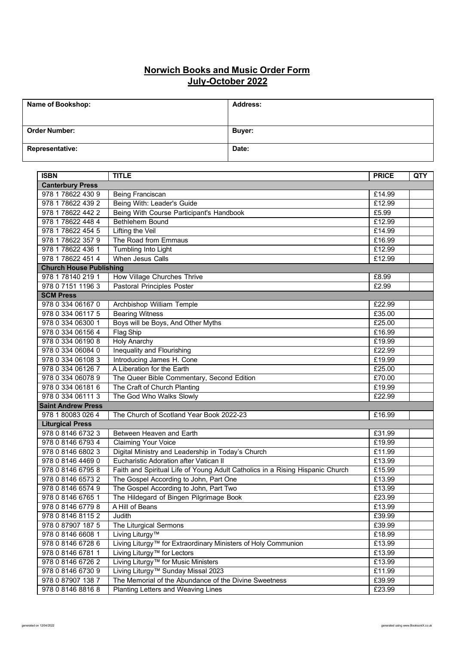## **Norwich Books and Music Order Form July-October 2022**

| Name of Bookshop:      | <b>Address:</b> |
|------------------------|-----------------|
|                        |                 |
| <b>Order Number:</b>   | Buyer:          |
| <b>Representative:</b> | Date:           |

| <b>ISBN</b>                    | <b>TITLE</b>                                                                  | <b>PRICE</b> | QTY |
|--------------------------------|-------------------------------------------------------------------------------|--------------|-----|
| <b>Canterbury Press</b>        |                                                                               |              |     |
| 978 1 78622 430 9              | Being Franciscan                                                              | £14.99       |     |
| 978 1 78622 439 2              | Being With: Leader's Guide                                                    | £12.99       |     |
| 978 1 78622 442 2              | Being With Course Participant's Handbook                                      | £5.99        |     |
| 978 1 78622 448 4              | Bethlehem Bound                                                               | £12.99       |     |
| 978 1 78622 454 5              | Lifting the Veil                                                              | £14.99       |     |
| 978 1 78622 357 9              | The Road from Emmaus                                                          | £16.99       |     |
| 978 1 78622 436 1              | Tumbling Into Light                                                           | £12.99       |     |
| 978 1 78622 451 4              | When Jesus Calls                                                              | £12.99       |     |
| <b>Church House Publishing</b> |                                                                               |              |     |
| 978 1 78140 219 1              | How Village Churches Thrive                                                   | £8.99        |     |
| 978 0 7151 1196 3              | Pastoral Principles Poster                                                    | £2.99        |     |
| <b>SCM Press</b>               |                                                                               |              |     |
| 978 0 334 06167 0              | Archbishop William Temple                                                     | £22.99       |     |
| 978 0 334 06117 5              | <b>Bearing Witness</b>                                                        | £35.00       |     |
| 978 0 334 06300 1              | Boys will be Boys, And Other Myths                                            | £25.00       |     |
| 978 0 334 06156 4              | Flag Ship                                                                     | £16.99       |     |
| 978 0 334 06190 8              | <b>Holy Anarchy</b>                                                           | £19.99       |     |
| 978 0 334 06084 0              | Inequality and Flourishing                                                    | £22.99       |     |
| 978 0 334 06108 3              | Introducing James H. Cone                                                     | £19.99       |     |
| 978 0 334 06126 7              | A Liberation for the Earth                                                    | £25.00       |     |
| 978 0 334 06078 9              | The Queer Bible Commentary, Second Edition                                    | £70.00       |     |
| 978 0 334 06181 6              | The Craft of Church Planting                                                  | £19.99       |     |
| 978 0 334 06111 3              | The God Who Walks Slowly                                                      | £22.99       |     |
| <b>Saint Andrew Press</b>      |                                                                               |              |     |
| 978 1 80083 026 4              | The Church of Scotland Year Book 2022-23                                      | £16.99       |     |
| <b>Liturgical Press</b>        |                                                                               |              |     |
| 978 0 8146 6732 3              | Between Heaven and Earth                                                      | £31.99       |     |
| 978 0 8146 6793 4              | <b>Claiming Your Voice</b>                                                    | £19.99       |     |
| 978 0 8146 6802 3              | Digital Ministry and Leadership in Today's Church                             | £11.99       |     |
| 978 0 8146 4469 0              | Eucharistic Adoration after Vatican II                                        | £13.99       |     |
| 978 0 8146 6795 8              | Faith and Spiritual Life of Young Adult Catholics in a Rising Hispanic Church | £15.99       |     |
| 978 0 8146 6573 2              | The Gospel According to John, Part One                                        | £13.99       |     |
| 978 0 8146 6574 9              | The Gospel According to John, Part Two                                        | £13.99       |     |
| 978 0 8146 6765 1              | The Hildegard of Bingen Pilgrimage Book                                       | £23.99       |     |
| 978 0 8146 6779 8              | A Hill of Beans                                                               | £13.99       |     |
| 978 0 8146 8115 2              | Judith                                                                        | £39.99       |     |
| 978 0 87907 187 5              | The Liturgical Sermons                                                        | £39.99       |     |
| 978 0 8146 6608 1              | Living Liturgy™                                                               | £18.99       |     |
| 978 0 8146 6728 6              | Living Liturgy™ for Extraordinary Ministers of Holy Communion                 | £13.99       |     |
| 978 0 8146 6781 1              | Living Liturgy <sup>™</sup> for Lectors                                       | £13.99       |     |
| 978 0 8146 6726 2              | Living Liturgy <sup>™</sup> for Music Ministers                               | £13.99       |     |
| 978 0 8146 6730 9              | Living Liturgy <sup>™</sup> Sunday Missal 2023                                | £11.99       |     |
| 978 0 87907 138 7              | The Memorial of the Abundance of the Divine Sweetness                         | £39.99       |     |
| 978 0 8146 8816 8              | Planting Letters and Weaving Lines                                            | £23.99       |     |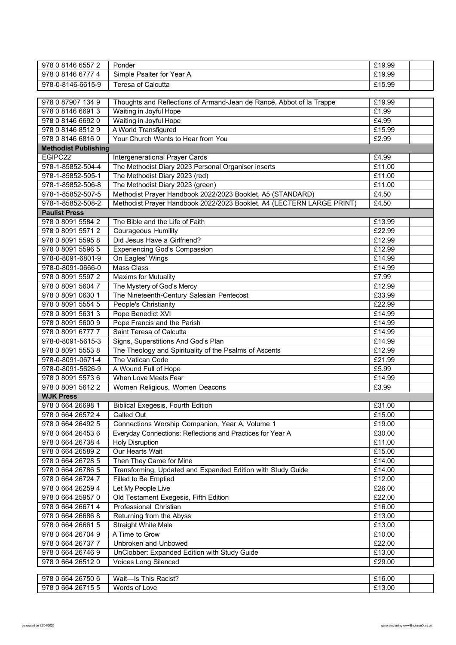| 978 0 8146 6557 2                      | Ponder                                                                | £19.99           |
|----------------------------------------|-----------------------------------------------------------------------|------------------|
| 978 0 8146 6777 4                      | Simple Psalter for Year A                                             | £19.99           |
| 978-0-8146-6615-9                      | <b>Teresa of Calcutta</b>                                             | £15.99           |
|                                        |                                                                       |                  |
| 978 0 87907 134 9                      | Thoughts and Reflections of Armand-Jean de Rancé, Abbot of la Trappe  | £19.99           |
| 978 0 8146 6691 3                      | Waiting in Joyful Hope                                                | £1.99            |
| 978 0 8146 6692 0                      | Waiting in Joyful Hope                                                | £4.99            |
| 978 0 8146 8512 9                      | A World Transfigured                                                  | £15.99           |
| 978 0 8146 6816 0                      | Your Church Wants to Hear from You                                    | £2.99            |
| <b>Methodist Publishing</b>            |                                                                       |                  |
| EGIPC22                                | Intergenerational Prayer Cards                                        | £4.99            |
| 978-1-85852-504-4                      | The Methodist Diary 2023 Personal Organiser inserts                   | £11.00           |
| 978-1-85852-505-1                      | The Methodist Diary 2023 (red)                                        | £11.00           |
| 978-1-85852-506-8                      | The Methodist Diary 2023 (green)                                      | £11.00           |
| 978-1-85852-507-5                      | Methodist Prayer Handbook 2022/2023 Booklet, A5 (STANDARD)            | £4.50            |
| 978-1-85852-508-2                      | Methodist Prayer Handbook 2022/2023 Booklet, A4 (LECTERN LARGE PRINT) | £4.50            |
| <b>Paulist Press</b>                   |                                                                       |                  |
| 978 0 8091 5584 2                      | The Bible and the Life of Faith                                       | £13.99           |
| 978 0 8091 5571 2                      | <b>Courageous Humility</b>                                            | £22.99           |
| 978 0 8091 5595 8                      | Did Jesus Have a Girlfriend?                                          | £12.99           |
| 978 0 8091 5596 5                      | <b>Experiencing God's Compassion</b>                                  | £12.99           |
| 978-0-8091-6801-9                      | On Eagles' Wings                                                      | £14.99           |
| 978-0-8091-0666-0                      | Mass Class                                                            | £14.99           |
| 978 0 8091 5597 2                      | <b>Maxims for Mutuality</b>                                           | £7.99            |
| 978 0 8091 5604 7                      | The Mystery of God's Mercy                                            | £12.99           |
| 978 0 8091 0630 1                      | The Nineteenth-Century Salesian Pentecost                             | £33.99           |
| 978 0 8091 5554 5                      | People's Christianity                                                 | £22.99           |
| 978 0 8091 5631 3                      | Pope Benedict XVI                                                     | £14.99           |
| 978 0 8091 5600 9                      | Pope Francis and the Parish                                           | £14.99           |
| 978 0 8091 6777 7<br>978-0-8091-5615-3 | Saint Teresa of Calcutta<br>Signs, Superstitions And God's Plan       | £14.99<br>£14.99 |
| 978 0 8091 5553 8                      | The Theology and Spirituality of the Psalms of Ascents                | £12.99           |
| 978-0-8091-0671-4                      | The Vatican Code                                                      | £21.99           |
| 978-0-8091-5626-9                      | A Wound Full of Hope                                                  | £5.99            |
| 978 0 8091 5573 6                      | When Love Meets Fear                                                  | £14.99           |
| 978 0 8091 5612 2                      | Women Religious, Women Deacons                                        | £3.99            |
| <b>WJK Press</b>                       |                                                                       |                  |
| 978 0 664 26698 1                      | <b>Biblical Exegesis, Fourth Edition</b>                              | £31.00           |
| 978 0 664 26572 4                      | Called Out                                                            | £15.00           |
| 978 0 664 26492 5                      | Connections Worship Companion, Year A, Volume 1                       | £19.00           |
| 978 0 664 26453 6                      | Everyday Connections: Reflections and Practices for Year A            | £30.00           |
| 978 0 664 26738 4                      | <b>Holy Disruption</b>                                                | £11.00           |
| 978 0 664 26589 2                      | Our Hearts Wait                                                       | £15.00           |
| 978 0 664 26728 5                      | Then They Came for Mine                                               | £14.00           |
| 978 0 664 26786 5                      | Transforming, Updated and Expanded Edition with Study Guide           | £14.00           |
| 978 0 664 26724 7                      | Filled to Be Emptied                                                  | £12.00           |
| 978 0 664 26259 4                      | Let My People Live                                                    | £26.00           |
| 978 0 664 25957 0                      | Old Testament Exegesis, Fifth Edition                                 | £22.00           |
| 978 0 664 26671 4                      | Professional Christian                                                | £16.00           |
| 978 0 664 26686 8                      | Returning from the Abyss                                              | £13.00           |
| 978 0 664 26661 5                      | <b>Straight White Male</b>                                            | £13.00           |
| 978 0 664 26704 9                      | A Time to Grow                                                        | £10.00           |
| 978 0 664 26737 7                      | Unbroken and Unbowed                                                  | £22.00           |
| 978 0 664 26746 9                      | UnClobber: Expanded Edition with Study Guide                          | £13.00           |
| 978 0 664 26512 0                      | Voices Long Silenced                                                  | £29.00           |
|                                        |                                                                       |                  |
| 978 0 664 26750 6<br>978 0 664 26715 5 | Wait-Is This Racist?<br>Words of Love                                 | £16.00<br>£13.00 |
|                                        |                                                                       |                  |